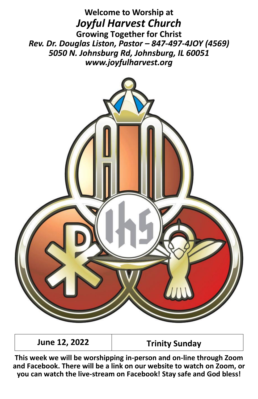**Welcome to Worship at** *Joyful Harvest Church* **Growing Together for Christ** *Rev. Dr. Douglas Liston, Pastor – 847-497-4JOY (4569) 5050 N. Johnsburg Rd, Johnsburg, IL 60051 www.joyfulharvest.org*



**June 12, 2022 Trinity Sunday**

**This week we will be worshipping in-person and on-line through Zoom and Facebook. There will be a link on our website to watch on Zoom, or you can watch the live-stream on Facebook! Stay safe and God bless!**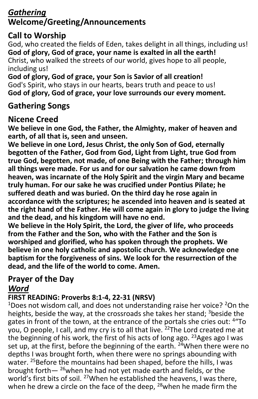# *Gathering* **Welcome/Greeting/Announcements**

## **Call to Worship**

God, who created the fields of Eden, takes delight in all things, including us! **God of glory, God of grace, your name is exalted in all the earth!** Christ, who walked the streets of our world, gives hope to all people, including us!

**God of glory, God of grace, your Son is Savior of all creation!** God's Spirit, who stays in our hearts, bears truth and peace to us! **God of glory, God of grace, your love surrounds our every moment.**

#### **Gathering Songs**

#### **Nicene Creed**

**We believe in one God, the Father, the Almighty, maker of heaven and earth, of all that is, seen and unseen.**

**We believe in one Lord, Jesus Christ, the only Son of God, eternally begotten of the Father, God from God, Light from Light, true God from true God, begotten, not made, of one Being with the Father; through him all things were made. For us and for our salvation he came down from heaven, was incarnate of the Holy Spirit and the virgin Mary and became truly human. For our sake he was crucified under Pontius Pilate; he suffered death and was buried. On the third day he rose again in accordance with the scriptures; he ascended into heaven and is seated at the right hand of the Father. He will come again in glory to judge the living and the dead, and his kingdom will have no end.**

**We believe in the Holy Spirit, the Lord, the giver of life, who proceeds from the Father and the Son, who with the Father and the Son is worshiped and glorified, who has spoken through the prophets. We believe in one holy catholic and apostolic church. We acknowledge one baptism for the forgiveness of sins. We look for the resurrection of the dead, and the life of the world to come. Amen.**

#### **Prayer of the Day** *Word*

#### **FIRST READING: Proverbs 8:1-4, 22-31 (NRSV)**

<sup>1</sup>Does not wisdom call, and does not understanding raise her voice? <sup>2</sup>On the heights, beside the way, at the crossroads she takes her stand; 3beside the gates in front of the town, at the entrance of the portals she cries out: <sup>4</sup> "To you, O people, I call, and my cry is to all that live. <sup>22</sup>The Lord created me at the beginning of his work, the first of his acts of long ago. <sup>23</sup>Ages ago I was set up, at the first, before the beginning of the earth.  $24$ When there were no depths I was brought forth, when there were no springs abounding with water. <sup>25</sup>Before the mountains had been shaped, before the hills, I was brought forth $-$  <sup>26</sup>when he had not yet made earth and fields, or the world's first bits of soil. <sup>27</sup>When he established the heavens, I was there, when he drew a circle on the face of the deep. <sup>28</sup>when he made firm the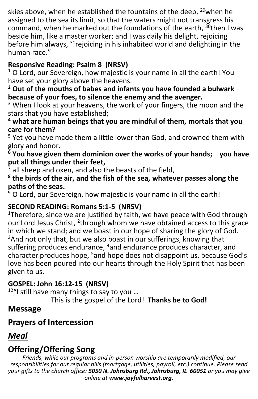skies above, when he established the fountains of the deep,  $29$  when he assigned to the sea its limit, so that the waters might not transgress his command, when he marked out the foundations of the earth,  $30$ then I was beside him, like a master worker; and I was daily his delight, rejoicing before him always, <sup>31</sup>rejoicing in his inhabited world and delighting in the human race."

#### **Responsive Reading: Psalm 8 (NRSV)**

 $1$  O Lord, our Sovereign, how majestic is your name in all the earth! You have set your glory above the heavens.

**<sup>2</sup> Out of the mouths of babes and infants you have founded a bulwark because of your foes, to silence the enemy and the avenger.**

<sup>3</sup> When I look at your heavens, the work of your fingers, the moon and the stars that you have established;

#### **<sup>4</sup> what are human beings that you are mindful of them, mortals that you care for them?**

<sup>5</sup> Yet you have made them a little lower than God, and crowned them with glory and honor.

**<sup>6</sup> You have given them dominion over the works of your hands; you have put all things under their feet,**

 $\frac{1}{2}$  all sheep and oxen, and also the beasts of the field,

**8 the birds of the air, and the fish of the sea, whatever passes along the paths of the seas.**

 $9$  O Lord, our Sovereign, how majestic is your name in all the earth!

#### **SECOND READING: Romans 5:1-5 (NRSV)**

<sup>1</sup>Therefore, since we are justified by faith, we have peace with God through our Lord Jesus Christ, <sup>2</sup>through whom we have obtained access to this grace in which we stand; and we boast in our hope of sharing the glory of God. <sup>3</sup>And not only that, but we also boast in our sufferings, knowing that suffering produces endurance, <sup>4</sup>and endurance produces character, and character produces hope, <sup>5</sup>and hope does not disappoint us, because God's love has been poured into our hearts through the Holy Spirit that has been given to us.

#### **GOSPEL: John 16:12-15 (NRSV)**

 $12$ "I still have many things to say to you ...

This is the gospel of the Lord! **Thanks be to God!**

#### **Message**

# **Prayers of Intercession**

# *Meal*

# **Offering/Offering Song**

*Friends, while our programs and in-person worship are temporarily modified, our responsibilities for our regular bills (mortgage, utilities, payroll, etc.) continue. Please send your gifts to the church office: 5050 N. Johnsburg Rd., Johnsburg, IL 60051 or you may give online at www.joyfulharvest.org.*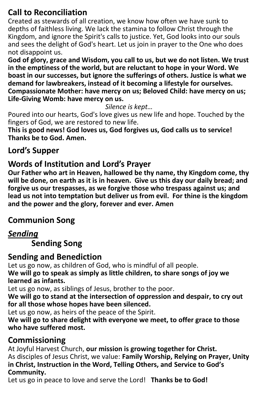# **Call to Reconciliation**

Created as stewards of all creation, we know how often we have sunk to depths of faithless living. We lack the stamina to follow Christ through the Kingdom, and ignore the Spirit's calls to justice. Yet, God looks into our souls and sees the delight of God's heart. Let us join in prayer to the One who does not disappoint us.

**God of glory, grace and Wisdom, you call to us, but we do not listen. We trust in the emptiness of the world, but are reluctant to hope in your Word. We boast in our successes, but ignore the sufferings of others. Justice is what we demand for lawbreakers, instead of it becoming a lifestyle for ourselves. Compassionate Mother: have mercy on us; Beloved Child: have mercy on us; Life-Giving Womb: have mercy on us.**

*Silence is kept…*

Poured into our hearts, God's love gives us new life and hope. Touched by the fingers of God, we are restored to new life.

**This is good news! God loves us, God forgives us, God calls us to service! Thanks be to God. Amen.**

#### **Lord's Supper**

#### **Words of Institution and Lord's Prayer**

**Our Father who art in Heaven, hallowed be thy name, thy Kingdom come, thy will be done, on earth as it is in heaven. Give us this day our daily bread; and forgive us our trespasses, as we forgive those who trespass against us; and lead us not into temptation but deliver us from evil. For thine is the kingdom and the power and the glory, forever and ever. Amen**

#### **Communion Song**

## *Sending*

**Sending Song**

#### **Sending and Benediction**

Let us go now, as children of God, who is mindful of all people. **We will go to speak as simply as little children, to share songs of joy we** 

**learned as infants.**

Let us go now, as siblings of Jesus, brother to the poor.

**We will go to stand at the intersection of oppression and despair, to cry out for all those whose hopes have been silenced.**

Let us go now, as heirs of the peace of the Spirit.

**We will go to share delight with everyone we meet, to offer grace to those who have suffered most.**

#### **Commissioning**

At Joyful Harvest Church, **our mission is growing together for Christ.** As disciples of Jesus Christ, we value: **Family Worship, Relying on Prayer, Unity in Christ, Instruction in the Word, Telling Others, and Service to God's Community.**

Let us go in peace to love and serve the Lord! **Thanks be to God!**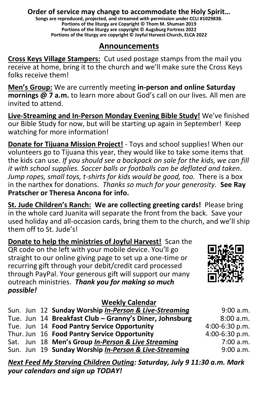#### **Order of service may change to accommodate the Holy Spirit…**

**Songs are reproduced, projected, and streamed with permission under CCLI #1029838. Portions of the liturgy are Copyright © Thom M. Shuman 2019 Portions of the liturgy are copyright © Augsburg Fortress 2022 Portions of the liturgy are copyright © Joyful Harvest Church, ELCA 2022**

#### **Announcements**

**Cross Keys Village Stampers:** Cut used postage stamps from the mail you receive at home, bring it to the church and we'll make sure the Cross Keys folks receive them!

**Men's Group:** We are currently meeting **in-person and online Saturday mornings @ 7 a.m.** to learn more about God's call on our lives. All men are invited to attend.

**Live-Streaming and In-Person Monday Evening Bible Study!** We've finished our Bible Study for now, but will be starting up again in September! Keep watching for more information!

**Donate for Tijuana Mission Project!** - Toys and school supplies! When our volunteers go to Tijuana this year, they would like to take some items that the kids can use. *If you should see a backpack on sale for the kids, we can fill it with school supplies. Soccer balls or footballs can be deflated and taken. Jump ropes, small toys, t-shirts for kids would be good, too.* There is a box in the narthex for donations. *Thanks so much for your generosity.* **See Ray Pratscher or Theresa Ancona for info.**

**St. Jude Children's Ranch: We are collecting greeting cards!** Please bring in the whole card Juanita will separate the front from the back. Save your used holiday and all-occasion cards, bring them to the church, and we'll ship them off to St. Jude's!

**Donate to help the ministries of Joyful Harvest!** Scan the QR code on the left with your mobile device. You'll go straight to our online giving page to set up a one-time or recurring gift through your debit/credit card processed through PayPal. Your generous gift will support our many outreach ministries.*Thank you for making so much possible!*

#### **Weekly Calendar**

|  | Sun. Jun 12 Sunday Worship In-Person & Live-Streaming  | 9:00 a.m.      |
|--|--------------------------------------------------------|----------------|
|  | Tue. Jun 14 Breakfast Club - Granny's Diner, Johnsburg | 8:00 a.m.      |
|  | Tue. Jun 14 Food Pantry Service Opportunity            | 4:00-6:30 p.m. |
|  | Thur. Jun 16 Food Pantry Service Opportunity           | 4:00-6:30 p.m. |
|  | Sat. Jun 18 Men's Group In-Person & Live Streaming     | 7:00 a.m.      |
|  | Sun. Jun 19 Sunday Worship In-Person & Live-Streaming  | 9:00 a.m.      |

*Next Feed My Starving Children Outing: Saturday, July 9 11:30 a.m. Mark your calendars and sign up TODAY!*

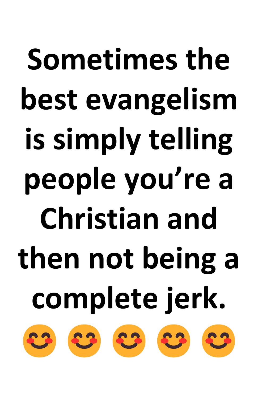# **Sometimes the best evangelism is simply telling people you're a Christian and then not being a complete jerk.** 23 23 23 23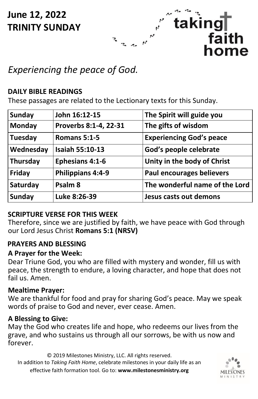**June 12, 2022 TRINITY SUNDAY**



# *Experiencing the peace of God.*

#### **DAILY BIBLE READINGS**

These passages are related to the Lectionary texts for this Sunday.

| <b>Sunday</b> | John 16:12-15          | The Spirit will guide you       |
|---------------|------------------------|---------------------------------|
| Monday        | Proverbs 8:1-4, 22-31  | The gifts of wisdom             |
| Tuesday       | Romans 5:1-5           | <b>Experiencing God's peace</b> |
| Wednesday     | <b>Isaiah 55:10-13</b> | God's people celebrate          |
| Thursday      | <b>Ephesians 4:1-6</b> | Unity in the body of Christ     |
| Friday        | Philippians 4:4-9      | Paul encourages believers       |
| Saturday      | Psalm <sub>8</sub>     | The wonderful name of the Lord  |
| <b>Sunday</b> | Luke 8:26-39           | Jesus casts out demons          |

#### **SCRIPTURE VERSE FOR THIS WEEK**

Therefore, since we are justified by faith, we have peace with God through our Lord Jesus Christ **Romans 5:1 (NRSV)**

#### **PRAYERS AND BLESSING**

#### **A Prayer for the Week:**

Dear Triune God, you who are filled with mystery and wonder, fill us with peace, the strength to endure, a loving character, and hope that does not fail us. Amen.

#### **Mealtime Prayer:**

We are thankful for food and pray for sharing God's peace. May we speak words of praise to God and never, ever cease. Amen.

#### **A Blessing to Give:**

May the God who creates life and hope, who redeems our lives from the grave, and who sustains us through all our sorrows, be with us now and forever.

© 2019 Milestones Ministry, LLC. All rights reserved. In addition to *Taking Faith Home*, celebrate milestones in your daily life as an effective faith formation tool. Go to: **www.milestonesministry.org**